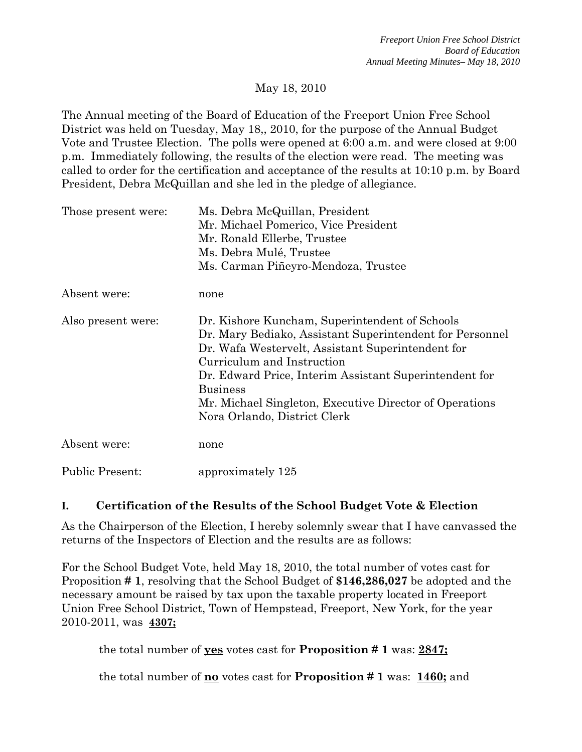## May 18, 2010

The Annual meeting of the Board of Education of the Freeport Union Free School District was held on Tuesday, May 18,, 2010, for the purpose of the Annual Budget Vote and Trustee Election. The polls were opened at 6:00 a.m. and were closed at 9:00 p.m. Immediately following, the results of the election were read. The meeting was called to order for the certification and acceptance of the results at 10:10 p.m. by Board President, Debra McQuillan and she led in the pledge of allegiance.

| Those present were:    | Ms. Debra McQuillan, President<br>Mr. Michael Pomerico, Vice President<br>Mr. Ronald Ellerbe, Trustee<br>Ms. Debra Mulé, Trustee<br>Ms. Carman Piñeyro-Mendoza, Trustee                                                                                                                                                                                               |
|------------------------|-----------------------------------------------------------------------------------------------------------------------------------------------------------------------------------------------------------------------------------------------------------------------------------------------------------------------------------------------------------------------|
| Absent were:           | none                                                                                                                                                                                                                                                                                                                                                                  |
| Also present were:     | Dr. Kishore Kuncham, Superintendent of Schools<br>Dr. Mary Bediako, Assistant Superintendent for Personnel<br>Dr. Wafa Westervelt, Assistant Superintendent for<br>Curriculum and Instruction<br>Dr. Edward Price, Interim Assistant Superintendent for<br><b>Business</b><br>Mr. Michael Singleton, Executive Director of Operations<br>Nora Orlando, District Clerk |
| Absent were:           | none                                                                                                                                                                                                                                                                                                                                                                  |
| <b>Public Present:</b> | approximately 125                                                                                                                                                                                                                                                                                                                                                     |

# **I. Certification of the Results of the School Budget Vote & Election**

As the Chairperson of the Election, I hereby solemnly swear that I have canvassed the returns of the Inspectors of Election and the results are as follows:

For the School Budget Vote, held May 18, 2010, the total number of votes cast for Proposition **# 1**, resolving that the School Budget of **\$146,286,027** be adopted and the necessary amount be raised by tax upon the taxable property located in Freeport Union Free School District, Town of Hempstead, Freeport, New York, for the year 2010-2011, was **4307;**

the total number of **yes** votes cast for **Proposition # 1** was: **2847;**

the total number of **no** votes cast for **Proposition # 1** was: **1460;** and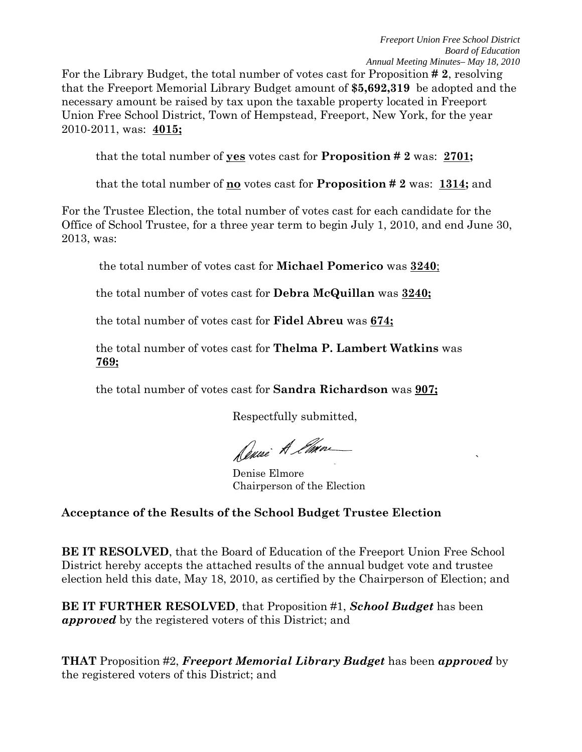the contract of the contract of the contract of the contract of the contract of the contract of the contract o<br>The contract of the contract of the contract of the contract of the contract of the contract of the contract o

For the Library Budget, the total number of votes cast for Proposition **# 2**, resolving that the Freeport Memorial Library Budget amount of **\$5,692,319** be adopted and the necessary amount be raised by tax upon the taxable property located in Freeport Union Free School District, Town of Hempstead, Freeport, New York, for the year 2010-2011, was: **4015;**

that the total number of **yes** votes cast for **Proposition # 2** was: **2701;** 

that the total number of **no** votes cast for **Proposition # 2** was: **1314;** and

For the Trustee Election, the total number of votes cast for each candidate for the Office of School Trustee, for a three year term to begin July 1, 2010, and end June 30, 2013, was:

the total number of votes cast for **Michael Pomerico** was **3240**;

the total number of votes cast for **Debra McQuillan** was **3240;**

the total number of votes cast for **Fidel Abreu** was **674;**

the total number of votes cast for **Thelma P. Lambert Watkins** was **769;**

the total number of votes cast for **Sandra Richardson** was **907;**

Respectfully submitted,

Duce A Eman

Denise Elmore Chairperson of the Election

# **Acceptance of the Results of the School Budget Trustee Election**

**BE IT RESOLVED**, that the Board of Education of the Freeport Union Free School District hereby accepts the attached results of the annual budget vote and trustee election held this date, May 18, 2010, as certified by the Chairperson of Election; and

**BE IT FURTHER RESOLVED**, that Proposition #1, *School Budget* has been *approved* by the registered voters of this District; and

**THAT** Proposition #2, *Freeport Memorial Library Budget* has been *approved* by the registered voters of this District; and